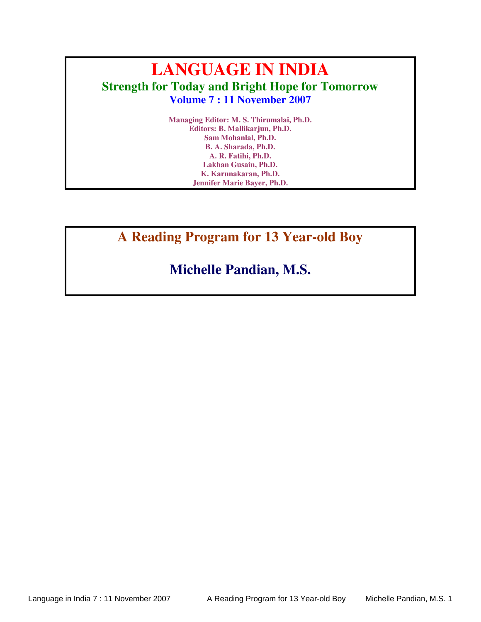# **LANGUAGE IN INDIA Strength for Today and Bright Hope for Tomorrow Volume 7 : 11 November 2007**

**Managing Editor: M. S. Thirumalai, Ph.D. Editors: B. Mallikarjun, Ph.D. Sam Mohanlal, Ph.D. B. A. Sharada, Ph.D. A. R. Fatihi, Ph.D. Lakhan Gusain, Ph.D. K. Karunakaran, Ph.D. Jennifer Marie Bayer, Ph.D.**

**A Reading Program for 13 Year-old Boy** 

## **Michelle Pandian, M.S.**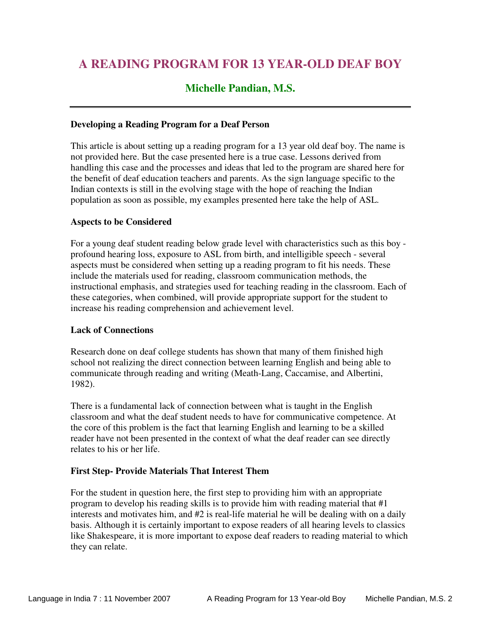### **A READING PROGRAM FOR 13 YEAR-OLD DEAF BOY**

### **Michelle Pandian, M.S.**

#### **Developing a Reading Program for a Deaf Person**

This article is about setting up a reading program for a 13 year old deaf boy. The name is not provided here. But the case presented here is a true case. Lessons derived from handling this case and the processes and ideas that led to the program are shared here for the benefit of deaf education teachers and parents. As the sign language specific to the Indian contexts is still in the evolving stage with the hope of reaching the Indian population as soon as possible, my examples presented here take the help of ASL.

#### **Aspects to be Considered**

For a young deaf student reading below grade level with characteristics such as this boy profound hearing loss, exposure to ASL from birth, and intelligible speech - several aspects must be considered when setting up a reading program to fit his needs. These include the materials used for reading, classroom communication methods, the instructional emphasis, and strategies used for teaching reading in the classroom. Each of these categories, when combined, will provide appropriate support for the student to increase his reading comprehension and achievement level.

#### **Lack of Connections**

Research done on deaf college students has shown that many of them finished high school not realizing the direct connection between learning English and being able to communicate through reading and writing (Meath-Lang, Caccamise, and Albertini, 1982).

There is a fundamental lack of connection between what is taught in the English classroom and what the deaf student needs to have for communicative competence. At the core of this problem is the fact that learning English and learning to be a skilled reader have not been presented in the context of what the deaf reader can see directly relates to his or her life.

#### **First Step- Provide Materials That Interest Them**

For the student in question here, the first step to providing him with an appropriate program to develop his reading skills is to provide him with reading material that #1 interests and motivates him, and #2 is real-life material he will be dealing with on a daily basis. Although it is certainly important to expose readers of all hearing levels to classics like Shakespeare, it is more important to expose deaf readers to reading material to which they can relate.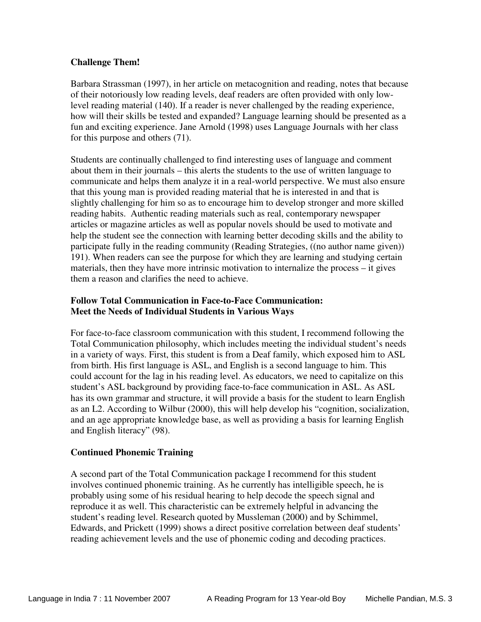#### **Challenge Them!**

Barbara Strassman (1997), in her article on metacognition and reading, notes that because of their notoriously low reading levels, deaf readers are often provided with only lowlevel reading material (140). If a reader is never challenged by the reading experience, how will their skills be tested and expanded? Language learning should be presented as a fun and exciting experience. Jane Arnold (1998) uses Language Journals with her class for this purpose and others (71).

Students are continually challenged to find interesting uses of language and comment about them in their journals – this alerts the students to the use of written language to communicate and helps them analyze it in a real-world perspective. We must also ensure that this young man is provided reading material that he is interested in and that is slightly challenging for him so as to encourage him to develop stronger and more skilled reading habits. Authentic reading materials such as real, contemporary newspaper articles or magazine articles as well as popular novels should be used to motivate and help the student see the connection with learning better decoding skills and the ability to participate fully in the reading community (Reading Strategies, ((no author name given)) 191). When readers can see the purpose for which they are learning and studying certain materials, then they have more intrinsic motivation to internalize the process – it gives them a reason and clarifies the need to achieve.

#### **Follow Total Communication in Face-to-Face Communication: Meet the Needs of Individual Students in Various Ways**

For face-to-face classroom communication with this student, I recommend following the Total Communication philosophy, which includes meeting the individual student's needs in a variety of ways. First, this student is from a Deaf family, which exposed him to ASL from birth. His first language is ASL, and English is a second language to him. This could account for the lag in his reading level. As educators, we need to capitalize on this student's ASL background by providing face-to-face communication in ASL. As ASL has its own grammar and structure, it will provide a basis for the student to learn English as an L2. According to Wilbur (2000), this will help develop his "cognition, socialization, and an age appropriate knowledge base, as well as providing a basis for learning English and English literacy" (98).

#### **Continued Phonemic Training**

A second part of the Total Communication package I recommend for this student involves continued phonemic training. As he currently has intelligible speech, he is probably using some of his residual hearing to help decode the speech signal and reproduce it as well. This characteristic can be extremely helpful in advancing the student's reading level. Research quoted by Mussleman (2000) and by Schimmel, Edwards, and Prickett (1999) shows a direct positive correlation between deaf students' reading achievement levels and the use of phonemic coding and decoding practices.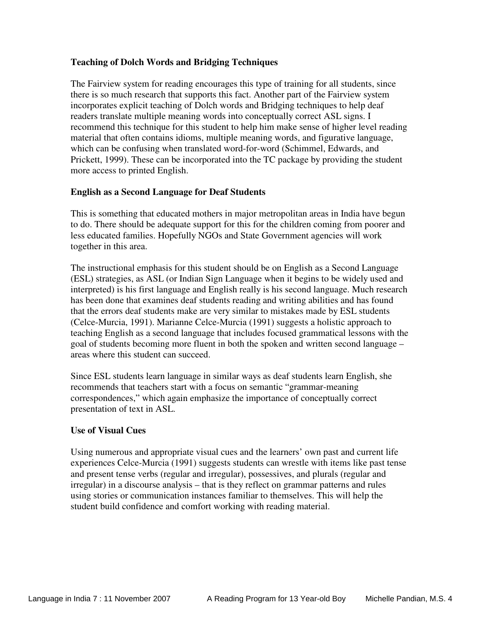#### **Teaching of Dolch Words and Bridging Techniques**

The Fairview system for reading encourages this type of training for all students, since there is so much research that supports this fact. Another part of the Fairview system incorporates explicit teaching of Dolch words and Bridging techniques to help deaf readers translate multiple meaning words into conceptually correct ASL signs. I recommend this technique for this student to help him make sense of higher level reading material that often contains idioms, multiple meaning words, and figurative language, which can be confusing when translated word-for-word (Schimmel, Edwards, and Prickett, 1999). These can be incorporated into the TC package by providing the student more access to printed English.

#### **English as a Second Language for Deaf Students**

This is something that educated mothers in major metropolitan areas in India have begun to do. There should be adequate support for this for the children coming from poorer and less educated families. Hopefully NGOs and State Government agencies will work together in this area.

The instructional emphasis for this student should be on English as a Second Language (ESL) strategies, as ASL (or Indian Sign Language when it begins to be widely used and interpreted) is his first language and English really is his second language. Much research has been done that examines deaf students reading and writing abilities and has found that the errors deaf students make are very similar to mistakes made by ESL students (Celce-Murcia, 1991). Marianne Celce-Murcia (1991) suggests a holistic approach to teaching English as a second language that includes focused grammatical lessons with the goal of students becoming more fluent in both the spoken and written second language – areas where this student can succeed.

Since ESL students learn language in similar ways as deaf students learn English, she recommends that teachers start with a focus on semantic "grammar-meaning correspondences," which again emphasize the importance of conceptually correct presentation of text in ASL.

#### **Use of Visual Cues**

Using numerous and appropriate visual cues and the learners' own past and current life experiences Celce-Murcia (1991) suggests students can wrestle with items like past tense and present tense verbs (regular and irregular), possessives, and plurals (regular and irregular) in a discourse analysis – that is they reflect on grammar patterns and rules using stories or communication instances familiar to themselves. This will help the student build confidence and comfort working with reading material.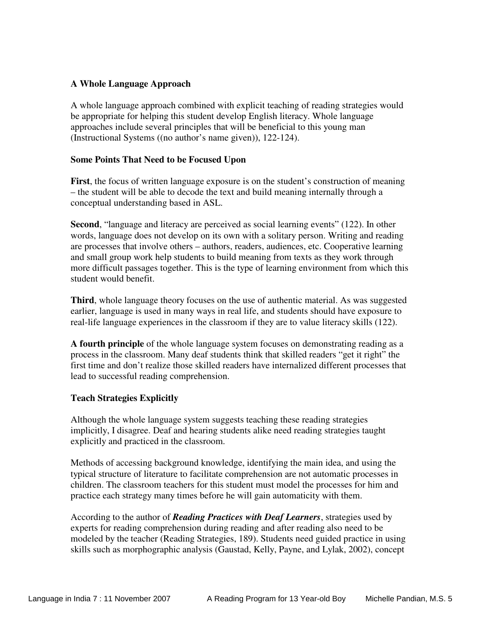#### **A Whole Language Approach**

A whole language approach combined with explicit teaching of reading strategies would be appropriate for helping this student develop English literacy. Whole language approaches include several principles that will be beneficial to this young man (Instructional Systems ((no author's name given)), 122-124).

#### **Some Points That Need to be Focused Upon**

**First**, the focus of written language exposure is on the student's construction of meaning – the student will be able to decode the text and build meaning internally through a conceptual understanding based in ASL.

**Second**, "language and literacy are perceived as social learning events" (122). In other words, language does not develop on its own with a solitary person. Writing and reading are processes that involve others – authors, readers, audiences, etc. Cooperative learning and small group work help students to build meaning from texts as they work through more difficult passages together. This is the type of learning environment from which this student would benefit.

**Third**, whole language theory focuses on the use of authentic material. As was suggested earlier, language is used in many ways in real life, and students should have exposure to real-life language experiences in the classroom if they are to value literacy skills (122).

**A fourth principle** of the whole language system focuses on demonstrating reading as a process in the classroom. Many deaf students think that skilled readers "get it right" the first time and don't realize those skilled readers have internalized different processes that lead to successful reading comprehension.

#### **Teach Strategies Explicitly**

Although the whole language system suggests teaching these reading strategies implicitly, I disagree. Deaf and hearing students alike need reading strategies taught explicitly and practiced in the classroom.

Methods of accessing background knowledge, identifying the main idea, and using the typical structure of literature to facilitate comprehension are not automatic processes in children. The classroom teachers for this student must model the processes for him and practice each strategy many times before he will gain automaticity with them.

According to the author of *Reading Practices with Deaf Learners*, strategies used by experts for reading comprehension during reading and after reading also need to be modeled by the teacher (Reading Strategies, 189). Students need guided practice in using skills such as morphographic analysis (Gaustad, Kelly, Payne, and Lylak, 2002), concept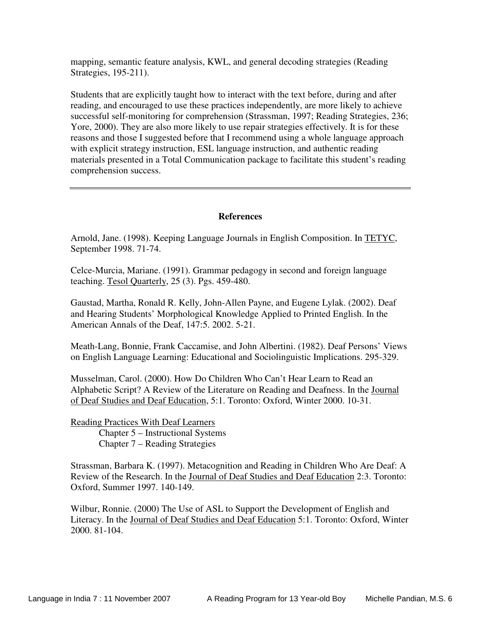mapping, semantic feature analysis, KWL, and general decoding strategies (Reading Strategies, 195-211).

Students that are explicitly taught how to interact with the text before, during and after reading, and encouraged to use these practices independently, are more likely to achieve successful self-monitoring for comprehension (Strassman, 1997; Reading Strategies, 236; Yore, 2000). They are also more likely to use repair strategies effectively. It is for these reasons and those I suggested before that I recommend using a whole language approach with explicit strategy instruction, ESL language instruction, and authentic reading materials presented in a Total Communication package to facilitate this student's reading comprehension success.

#### **References**

Arnold, Jane. (1998). Keeping Language Journals in English Composition. In TETYC, September 1998. 71-74.

Celce-Murcia, Mariane. (1991). Grammar pedagogy in second and foreign language teaching. Tesol Quarterly, 25 (3). Pgs. 459-480.

Gaustad, Martha, Ronald R. Kelly, John-Allen Payne, and Eugene Lylak. (2002). Deaf and Hearing Students' Morphological Knowledge Applied to Printed English. In the American Annals of the Deaf, 147:5. 2002. 5-21.

Meath-Lang, Bonnie, Frank Caccamise, and John Albertini. (1982). Deaf Persons' Views on English Language Learning: Educational and Sociolinguistic Implications. 295-329.

Musselman, Carol. (2000). How Do Children Who Can't Hear Learn to Read an Alphabetic Script? A Review of the Literature on Reading and Deafness. In the Journal of Deaf Studies and Deaf Education, 5:1. Toronto: Oxford, Winter 2000. 10-31.

Reading Practices With Deaf Learners Chapter 5 – Instructional Systems Chapter 7 – Reading Strategies

Strassman, Barbara K. (1997). Metacognition and Reading in Children Who Are Deaf: A Review of the Research. In the Journal of Deaf Studies and Deaf Education 2:3. Toronto: Oxford, Summer 1997. 140-149.

Wilbur, Ronnie. (2000) The Use of ASL to Support the Development of English and Literacy. In the Journal of Deaf Studies and Deaf Education 5:1. Toronto: Oxford, Winter 2000. 81-104.